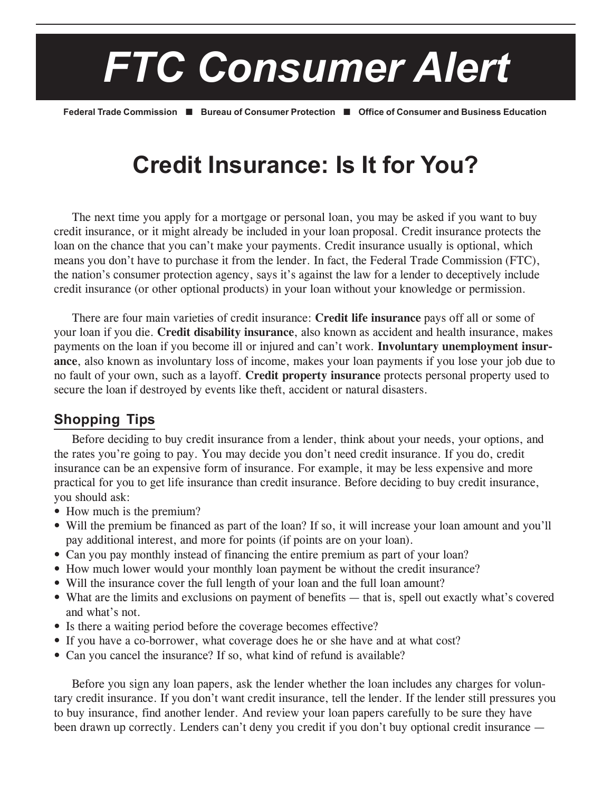

**Federal Trade Commission** ■ **Bureau of Consumer Protection** ■ **Office of Consumer and Business Education**

## **Credit Insurance: Is It for You?**

The next time you apply for a mortgage or personal loan, you may be asked if you want to buy credit insurance, or it might already be included in your loan proposal. Credit insurance protects the loan on the chance that you can't make your payments. Credit insurance usually is optional, which means you don't have to purchase it from the lender. In fact, the Federal Trade Commission (FTC), the nation's consumer protection agency, says it's against the law for a lender to deceptively include credit insurance (or other optional products) in your loan without your knowledge or permission.

There are four main varieties of credit insurance: **Credit life insurance** pays off all or some of your loan if you die. **Credit disability insurance**, also known as accident and health insurance, makes payments on the loan if you become ill or injured and canít work. **Involuntary unemployment insurance**, also known as involuntary loss of income, makes your loan payments if you lose your job due to no fault of your own, such as a layoff. **Credit property insurance** protects personal property used to secure the loan if destroyed by events like theft, accident or natural disasters.

## **Shopping Tips**

Before deciding to buy credit insurance from a lender, think about your needs, your options, and the rates you're going to pay. You may decide you don't need credit insurance. If you do, credit insurance can be an expensive form of insurance. For example, it may be less expensive and more practical for you to get life insurance than credit insurance. Before deciding to buy credit insurance, you should ask:

- How much is the premium?
- Will the premium be financed as part of the loan? If so, it will increase your loan amount and you'll pay additional interest, and more for points (if points are on your loan).
- Can you pay monthly instead of financing the entire premium as part of your loan?
- How much lower would your monthly loan payment be without the credit insurance?
- Will the insurance cover the full length of your loan and the full loan amount?
- What are the limits and exclusions on payment of benefits that is, spell out exactly what's covered and what's not.
- Is there a waiting period before the coverage becomes effective?
- If you have a co-borrower, what coverage does he or she have and at what cost?
- Can you cancel the insurance? If so, what kind of refund is available?

Before you sign any loan papers, ask the lender whether the loan includes any charges for voluntary credit insurance. If you don't want credit insurance, tell the lender. If the lender still pressures you to buy insurance, find another lender. And review your loan papers carefully to be sure they have been drawn up correctly. Lenders can't deny you credit if you don't buy optional credit insurance —